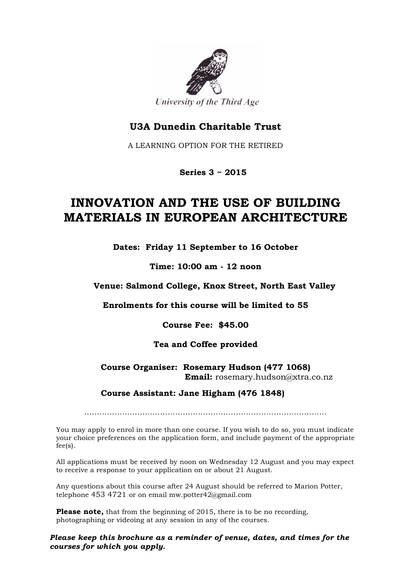

### **U3A Dunedin Charitable Trust**

A LEARNING OPTION FOR THE RETIRED

 **Series 3 ~ 2015**

# **INNOVATION AND THE USE OF BUILDING MATERIALS IN EUROPEAN ARCHITECTURE**

**Dates: Friday 11 September to 16 October**

**Time: 10:00 am - 12 noon**

**Venue: Salmond College, Knox Street, North East Valley**

**Enrolments for this course will be limited to 55**

**Course Fee: \$45.00**

#### **Tea and Coffee provided**

#### **Course Organiser: Rosemary Hudson (477 1068) Email:** rosemary.hudson@xtra.co.nz

#### **Course Assistant: Jane Higham (476 1848)**

……………………………………………………………………………………

You may apply to enrol in more than one course. If you wish to do so, you must indicate your choice preferences on the application form, and include payment of the appropriate fee(s).

All applications must be received by noon on Wednesday 12 August and you may expect to receive a response to your application on or about 21 August.

Any questions about this course after 24 August should be referred to Marion Potter, telephone 453 4721 or on email mw.potter42@gmail.com

**Please note,** that from the beginning of 2015, there is to be no recording, photographing or videoing at any session in any of the courses.

*Please keep this brochure as a reminder of venue, dates, and times for the courses for which you apply.*